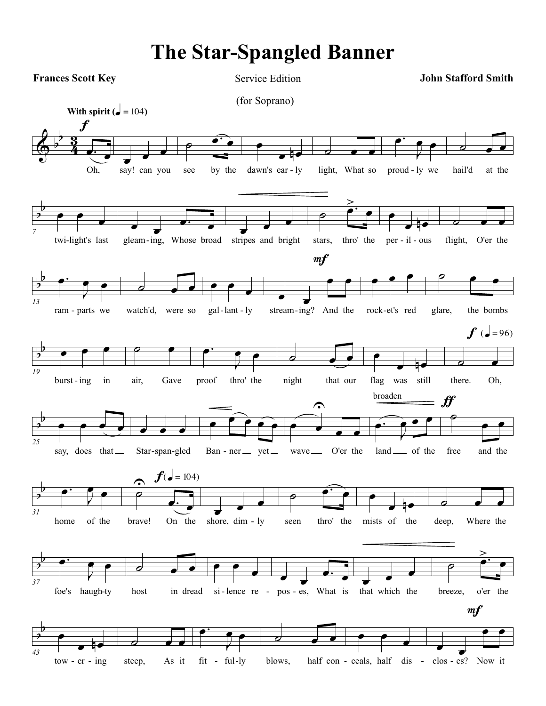## **The Star-Spangled Banner**